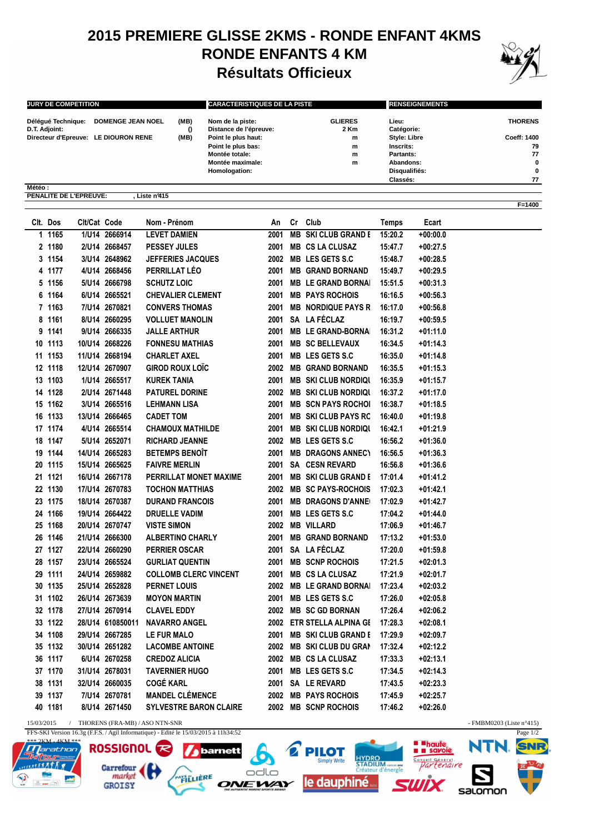## **2015 PREMIERE GLISSE 2KMS - RONDE ENFANT 4KMS RONDE ENFANTS 4 KM Résultats Officieux**



| <b>JURY DE COMPETITION</b>           |                                            | <b>CARACTERISTIQUES DE LA PISTE</b>        |                        | <b>RENSEIGNEMENTS</b> |                |  |
|--------------------------------------|--------------------------------------------|--------------------------------------------|------------------------|-----------------------|----------------|--|
| Délégué Technique:<br>D.T. Adjoint:  | <b>DOMENGE JEAN NOEL</b><br>(MB)<br>$_{0}$ | Nom de la piste:<br>Distance de l'épreuve: | <b>GLIERES</b><br>2 Km | Lieu:<br>Catégorie:   | <b>THORENS</b> |  |
| Directeur d'Epreuve: LE DIOURON RENE | (MB)                                       | Point le plus haut:                        | m                      | <b>Style: Libre</b>   | Coeff: 1400    |  |
|                                      |                                            | Point le plus bas:                         | m                      | Inscrits:             | 79             |  |
|                                      |                                            | Montée totale:                             | m                      | Partants:             | 77             |  |
|                                      |                                            | Montée maximale:                           | m                      | Abandons:             | 0              |  |
|                                      |                                            | Homologation:                              |                        | Disqualifiés:         | 0              |  |
|                                      |                                            |                                            |                        | Classés:              | 77             |  |
| Météo:                               |                                            |                                            |                        |                       |                |  |
| PENALITE DE L'EPREUVE:               | Liste nº415                                |                                            |                        |                       |                |  |
|                                      |                                            |                                            |                        |                       | F=1400         |  |

|    | Clt. Dos | Cit/Cat Code |                  | Nom - Prénom                  | An   | Cr | Club                        | Temps   | Ecart      |
|----|----------|--------------|------------------|-------------------------------|------|----|-----------------------------|---------|------------|
|    | 1 1165   |              | 1/U14 2666914    | <b>LEVET DAMIEN</b>           | 2001 |    | <b>MB SKI CLUB GRAND E</b>  | 15:20.2 | $+00:00.0$ |
|    | 2 1180   |              | 2/U14 2668457    | <b>PESSEY JULES</b>           | 2001 |    | <b>MB CS LA CLUSAZ</b>      | 15:47.7 | +00:27.5   |
|    | 3 1154   |              | 3/U14 2648962    | <b>JEFFERIES JACQUES</b>      |      |    | 2002 MB LES GETS S.C        | 15:48.7 | +00:28.5   |
|    | 4 1177   |              | 4/U14 2668456    | PERRILLAT LÉO                 | 2001 |    | <b>MB GRAND BORNAND</b>     | 15:49.7 | $+00:29.5$ |
|    | 5 1156   |              | 5/U14 2666798    | <b>SCHUTZ LOIC</b>            | 2001 |    | <b>MB LE GRAND BORNAI</b>   | 15:51.5 | $+00:31.3$ |
|    | 6 1164   |              | 6/U14 2665521    | <b>CHEVALIER CLEMENT</b>      | 2001 |    | <b>MB PAYS ROCHOIS</b>      | 16:16.5 | $+00:56.3$ |
|    | 7 1163   |              | 7/U14 2670821    | <b>CONVERS THOMAS</b>         | 2001 |    | <b>MB NORDIQUE PAYS R</b>   | 16:17.0 | $+00:56.8$ |
|    | 8 1161   |              | 8/U14 2660295    | <b>VOLLUET MANOLIN</b>        |      |    | 2001 SA LA FÉCLAZ           | 16:19.7 | +00:59.5   |
|    | 9 1141   |              | 9/U14 2666335    | <b>JALLE ARTHUR</b>           |      |    | 2001 MB LE GRAND-BORNA      | 16:31.2 | +01:11.0   |
|    | 10 1113  |              | 10/U14 2668226   | <b>FONNESU MATHIAS</b>        | 2001 |    | <b>MB SC BELLEVAUX</b>      | 16:34.5 | $+01:14.3$ |
|    | 11 1153  |              | 11/U14 2668194   | <b>CHARLET AXEL</b>           | 2001 |    | <b>MB LES GETS S.C</b>      | 16:35.0 | +01:14.8   |
|    | 12 1118  |              | 12/U14 2670907   | <b>GIROD ROUX LOIC</b>        |      |    | 2002 MB GRAND BORNAND       | 16:35.5 | +01:15.3   |
|    | 13 1103  |              | 1/U14 2665517    | KUREK TANIA                   | 2001 |    | <b>MB SKI CLUB NORDIQUE</b> | 16:35.9 | +01:15.7   |
|    | 14 1128  |              | 2/U14 2671448    | <b>PATUREL DORINE</b>         |      |    | 2002 MB SKI CLUB NORDIQU    | 16:37.2 | +01:17.0   |
|    | 15 1162  |              | 3/U14 2665516    | <b>LEHMANN LISA</b>           |      |    | 2001 MB SCN PAYS ROCHOL     | 16:38.7 | +01:18.5   |
|    | 16 1133  |              | 13/U14 2666465   | <b>CADET TOM</b>              |      |    | 2001 MB SKI CLUB PAYS RC    | 16:40.0 | $+01:19.8$ |
|    | 17 1174  |              | 4/U14 2665514    | <b>CHAMOUX MATHILDE</b>       | 2001 |    | <b>MB SKI CLUB NORDIQUE</b> | 16:42.1 | +01:21.9   |
|    | 18 1147  |              | 5/U14 2652071    | <b>RICHARD JEANNE</b>         | 2002 |    | <b>MB LES GETS S.C</b>      | 16:56.2 | +01:36.0   |
|    | 19 1144  |              | 14/U14 2665283   | <b>BETEMPS BENOIT</b>         | 2001 |    | <b>MB DRAGONS ANNECT</b>    | 16:56.5 | +01:36.3   |
|    | 20 1115  |              | 15/U14 2665625   | <b>FAIVRE MERLIN</b>          | 2001 |    | <b>SA CESN REVARD</b>       | 16:56.8 | $+01:36.6$ |
|    | 21 1121  |              | 16/U14 2667178   | PERRILLAT MONET MAXIME        | 2001 |    | <b>MB SKI CLUB GRAND E</b>  | 17:01.4 | +01:41.2   |
|    | 22 1130  |              | 17/U14 2670783   | <b>TOCHON MATTHIAS</b>        |      |    | 2002 MB SC PAYS-ROCHOIS     | 17:02.3 | +01:42.1   |
|    | 23 1175  |              | 18/U14 2670387   | <b>DURAND FRANCOIS</b>        | 2001 |    | <b>MB DRAGONS D'ANNE</b>    | 17:02.9 | +01:42.7   |
|    | 24 1166  |              | 19/U14 2664422   | <b>DRUELLE VADIM</b>          | 2001 |    | <b>MB LES GETS S.C</b>      | 17:04.2 | +01:44.0   |
|    | 25 1168  |              | 20/U14 2670747   | <b>VISTE SIMON</b>            |      |    | 2002 MB VILLARD             | 17:06.9 | +01:46.7   |
|    | 26 1146  |              | 21/U14 2666300   | <b>ALBERTINO CHARLY</b>       | 2001 |    | <b>MB GRAND BORNAND</b>     | 17:13.2 | $+01:53.0$ |
|    | 27 1127  |              | 22/U14 2660290   | <b>PERRIER OSCAR</b>          |      |    | 2001 SA LA FÉCLAZ           | 17:20.0 | $+01:59.8$ |
|    | 28 1157  |              | 23/U14 2665524   | <b>GURLIAT QUENTIN</b>        |      |    | 2001 MB SCNP ROCHOIS        | 17:21.5 | $+02:01.3$ |
|    | 29 1111  |              | 24/U14 2659882   | <b>COLLOMB CLERC VINCENT</b>  |      |    | 2001 MB CS LA CLUSAZ        | 17:21.9 | +02:01.7   |
|    | 30 1135  |              | 25/U14 2652828   | <b>PERNET LOUIS</b>           |      |    | 2002 MB LE GRAND BORNAI     | 17:23.4 | +02:03.2   |
|    | 31 1102  |              | 26/U14 2673639   | <b>MOYON MARTIN</b>           | 2001 |    | <b>MB LES GETS S.C</b>      | 17:26.0 | $+02:05.8$ |
|    | 32 1178  |              | 27/U14 2670914   | <b>CLAVEL EDDY</b>            |      |    | 2002 MB SC GD BORNAN        | 17:26.4 | +02:06.2   |
|    | 33 1122  |              | 28/U14 610850011 | <b>NAVARRO ANGEL</b>          | 2002 |    | ETR STELLA ALPINA GI        | 17:28.3 | +02:08.1   |
|    | 34 1108  |              | 29/U14 2667285   | <b>LE FUR MALO</b>            | 2001 |    | <b>MB SKI CLUB GRAND E</b>  | 17:29.9 | +02:09.7   |
|    | 35 1132  |              | 30/U14 2651282   | <b>LACOMBE ANTOINE</b>        |      |    | 2002 MB SKI CLUB DU GRAN    | 17:32.4 | +02:12.2   |
|    | 36 1117  |              | 6/U14 2670258    | <b>CREDOZ ALICIA</b>          |      |    | 2002 MB CS LA CLUSAZ        | 17:33.3 | +02:13.1   |
|    | 37 1170  |              | 31/U14 2678031   | <b>TAVERNIER HUGO</b>         | 2001 |    | MB LES GETS S.C             | 17:34.5 | $+02:14.3$ |
|    | 38 1131  |              | 32/U14 2660035   | <b>COGÉ KARL</b>              |      |    | 2001 SA LE REVARD           | 17:43.5 | +02:23.3   |
| 39 | 1137     |              | 7/U14 2670781    | <b>MANDEL CLÉMENCE</b>        |      |    | 2002 MB PAYS ROCHOIS        | 17:45.9 | +02:25.7   |
|    | 40 1181  |              | 8/U14 2671450    | <b>SYLVESTRE BARON CLAIRE</b> |      |    | 2002 MB SCNP ROCHOIS        | 17:46.2 | +02:26.0   |

15/03/2015 / THORENS (FRA-MB) / ASO NTN-SNR - FMBM0203 (Liste n°415)

FFS-SKI Version 16.3g (F.F.S. / Agil Informatique) - Edité le 15/03/2015 à 11h34:52

**ROSSIGNOL** 

**GROISY** 

Carrefour



┲ barnett odlo PAYS LIERE **ONEWAY** 





salomon